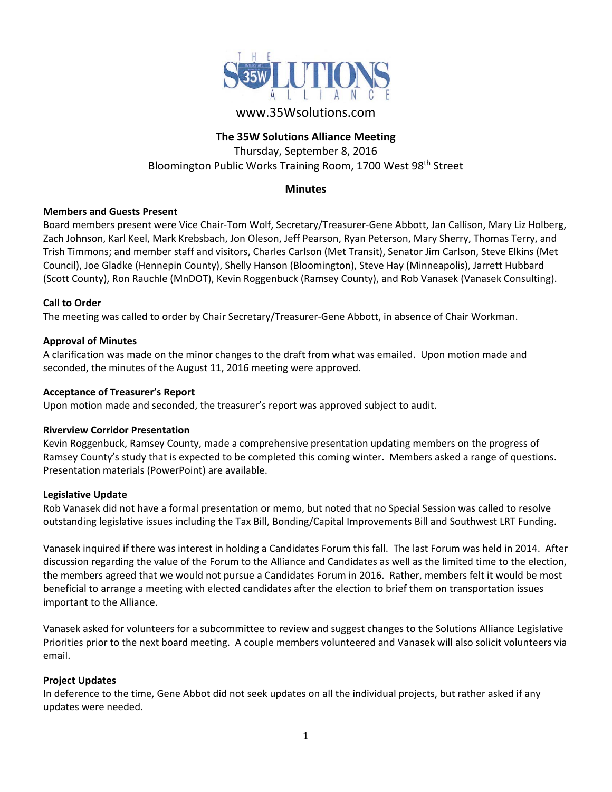

# www.35Wsolutions.com

## **The 35W Solutions Alliance Meeting**

Thursday, September 8, 2016 Bloomington Public Works Training Room, 1700 West 98<sup>th</sup> Street

# **Minutes**

## **Members and Guests Present**

Board members present were Vice Chair‐Tom Wolf, Secretary/Treasurer‐Gene Abbott, Jan Callison, Mary Liz Holberg, Zach Johnson, Karl Keel, Mark Krebsbach, Jon Oleson, Jeff Pearson, Ryan Peterson, Mary Sherry, Thomas Terry, and Trish Timmons; and member staff and visitors, Charles Carlson (Met Transit), Senator Jim Carlson, Steve Elkins (Met Council), Joe Gladke (Hennepin County), Shelly Hanson (Bloomington), Steve Hay (Minneapolis), Jarrett Hubbard (Scott County), Ron Rauchle (MnDOT), Kevin Roggenbuck (Ramsey County), and Rob Vanasek (Vanasek Consulting).

## **Call to Order**

The meeting was called to order by Chair Secretary/Treasurer‐Gene Abbott, in absence of Chair Workman.

#### **Approval of Minutes**

A clarification was made on the minor changes to the draft from what was emailed. Upon motion made and seconded, the minutes of the August 11, 2016 meeting were approved.

#### **Acceptance of Treasurer's Report**

Upon motion made and seconded, the treasurer's report was approved subject to audit.

#### **Riverview Corridor Presentation**

Kevin Roggenbuck, Ramsey County, made a comprehensive presentation updating members on the progress of Ramsey County's study that is expected to be completed this coming winter. Members asked a range of questions. Presentation materials (PowerPoint) are available.

#### **Legislative Update**

Rob Vanasek did not have a formal presentation or memo, but noted that no Special Session was called to resolve outstanding legislative issues including the Tax Bill, Bonding/Capital Improvements Bill and Southwest LRT Funding.

Vanasek inquired if there was interest in holding a Candidates Forum this fall. The last Forum was held in 2014. After discussion regarding the value of the Forum to the Alliance and Candidates as well as the limited time to the election, the members agreed that we would not pursue a Candidates Forum in 2016. Rather, members felt it would be most beneficial to arrange a meeting with elected candidates after the election to brief them on transportation issues important to the Alliance.

Vanasek asked for volunteers for a subcommittee to review and suggest changes to the Solutions Alliance Legislative Priorities prior to the next board meeting. A couple members volunteered and Vanasek will also solicit volunteers via email.

#### **Project Updates**

In deference to the time, Gene Abbot did not seek updates on all the individual projects, but rather asked if any updates were needed.